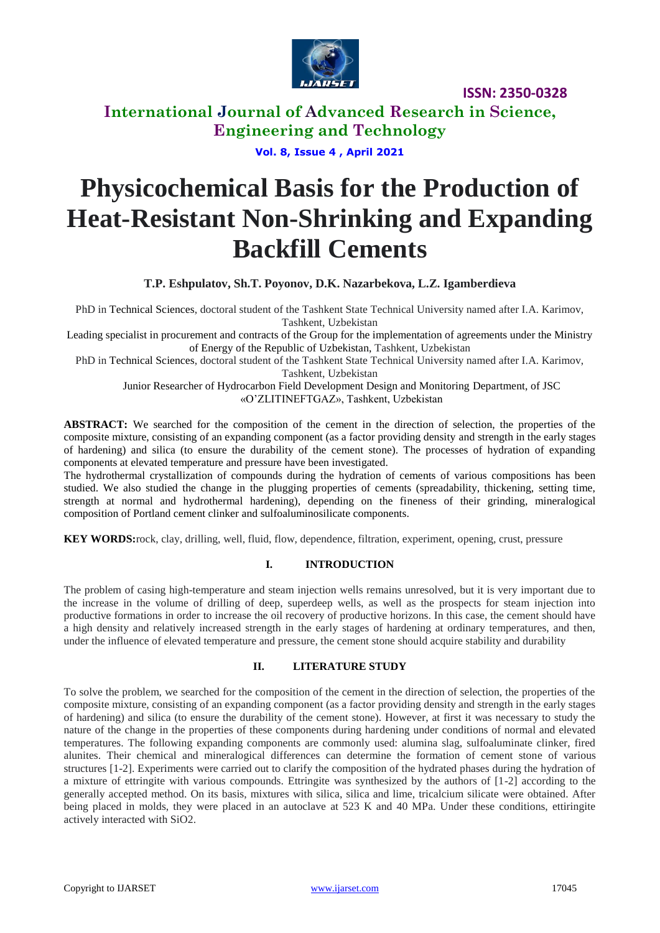

### **International Journal of Advanced Research in Science, Engineering and Technology**

### **Vol. 8, Issue 4 , April 2021**

# **Physicochemical Basis for the Production of Heat-Resistant Non-Shrinking and Expanding Backfill Cements**

**T.P. Eshpulatov, Sh.T. Poyonov, D.K. Nazarbekova, L.Z. Igamberdieva**

PhD in Technical Sciences, doctoral student of the Tashkent State Technical University named after I.A. Karimov, Tashkent, Uzbekistan

Leading specialist in procurement and contracts of the Group for the implementation of agreements under the Ministry of Energy of the Republic of Uzbekistan, Tashkent, Uzbekistan

PhD in Technical Sciences, doctoral student of the Tashkent State Technical University named after I.A. Karimov, Tashkent, Uzbekistan

Junior Researcher of Hydrocarbon Field Development Design and Monitoring Department, of JSC «O'ZLITINEFTGAZ», Tashkent, Uzbekistan

**ABSTRACT:** We searched for the composition of the cement in the direction of selection, the properties of the composite mixture, consisting of an expanding component (as a factor providing density and strength in the early stages of hardening) and silica (to ensure the durability of the cement stone). The processes of hydration of expanding components at elevated temperature and pressure have been investigated.

The hydrothermal crystallization of compounds during the hydration of cements of various compositions has been studied. We also studied the change in the plugging properties of cements (spreadability, thickening, setting time, strength at normal and hydrothermal hardening), depending on the fineness of their grinding, mineralogical composition of Portland cement clinker and sulfoaluminosilicate components.

**KEY WORDS:**rock, clay, drilling, well, fluid, flow, dependence, filtration, experiment, opening, crust, pressure

### **I. INTRODUCTION**

The problem of casing high-temperature and steam injection wells remains unresolved, but it is very important due to the increase in the volume of drilling of deep, superdeep wells, as well as the prospects for steam injection into productive formations in order to increase the oil recovery of productive horizons. In this case, the cement should have a high density and relatively increased strength in the early stages of hardening at ordinary temperatures, and then, under the influence of elevated temperature and pressure, the cement stone should acquire stability and durability

#### **II. LITERATURE STUDY**

To solve the problem, we searched for the composition of the cement in the direction of selection, the properties of the composite mixture, consisting of an expanding component (as a factor providing density and strength in the early stages of hardening) and silica (to ensure the durability of the cement stone). However, at first it was necessary to study the nature of the change in the properties of these components during hardening under conditions of normal and elevated temperatures. The following expanding components are commonly used: alumina slag, sulfoaluminate clinker, fired alunites. Their chemical and mineralogical differences can determine the formation of cement stone of various structures [1-2]. Experiments were carried out to clarify the composition of the hydrated phases during the hydration of a mixture of ettringite with various compounds. Ettringite was synthesized by the authors of [1-2] according to the generally accepted method. On its basis, mixtures with silica, silica and lime, tricalcium silicate were obtained. After being placed in molds, they were placed in an autoclave at 523 K and 40 MPa. Under these conditions, ettiringite actively interacted with SiO2.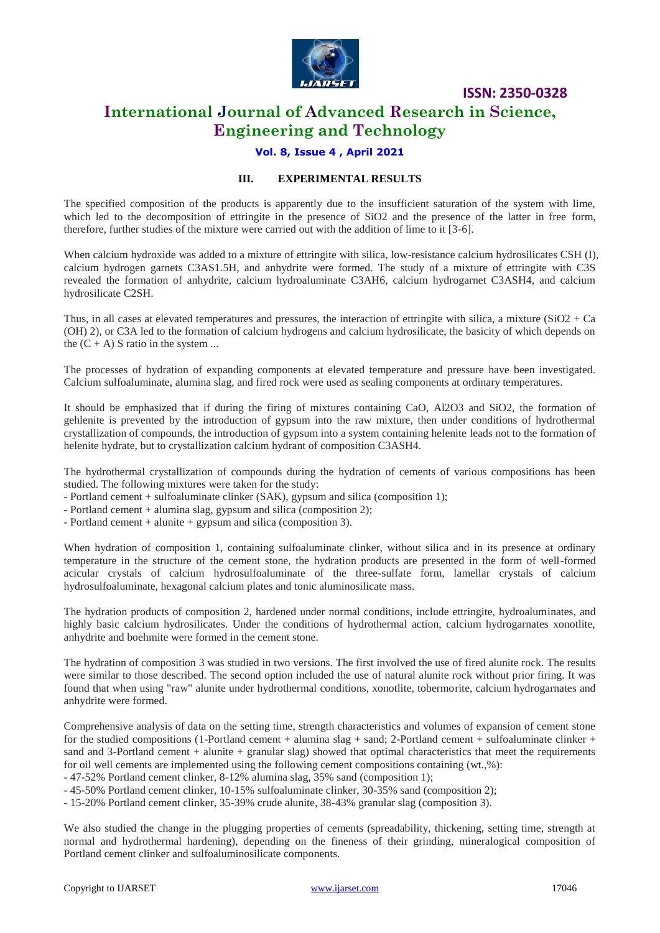

### **International Journal of Advanced Research in Science, Engineering and Technology**

### **Vol. 8, Issue 4 , April 2021**

#### **III. EXPERIMENTAL RESULTS**

The specified composition of the products is apparently due to the insufficient saturation of the system with lime, which led to the decomposition of ettringite in the presence of SiO2 and the presence of the latter in free form, therefore, further studies of the mixture were carried out with the addition of lime to it [3-6].

When calcium hydroxide was added to a mixture of ettringite with silica, low-resistance calcium hydrosilicates CSH (I), calcium hydrogen garnets C3AS1.5H, and anhydrite were formed. The study of a mixture of ettringite with C3S revealed the formation of anhydrite, calcium hydroaluminate C3AH6, calcium hydrogarnet C3ASH4, and calcium hydrosilicate C2SH.

Thus, in all cases at elevated temperatures and pressures, the interaction of ettringite with silica, a mixture  $(SIO2 + Ca)$ (OH) 2), or C3A led to the formation of calcium hydrogens and calcium hydrosilicate, the basicity of which depends on the  $(C + A)$  S ratio in the system ...

The processes of hydration of expanding components at elevated temperature and pressure have been investigated. Calcium sulfoaluminate, alumina slag, and fired rock were used as sealing components at ordinary temperatures.

It should be emphasized that if during the firing of mixtures containing CaO, Al2O3 and SiO2, the formation of gehlenite is prevented by the introduction of gypsum into the raw mixture, then under conditions of hydrothermal crystallization of compounds, the introduction of gypsum into a system containing helenite leads not to the formation of helenite hydrate, but to crystallization calcium hydrant of composition C3ASH4.

The hydrothermal crystallization of compounds during the hydration of cements of various compositions has been studied. The following mixtures were taken for the study:

- Portland cement + sulfoaluminate clinker (SAK), gypsum and silica (composition 1);
- Portland cement + alumina slag, gypsum and silica (composition 2);
- Portland cement + alunite + gypsum and silica (composition 3).

When hydration of composition 1, containing sulfoaluminate clinker, without silica and in its presence at ordinary temperature in the structure of the cement stone, the hydration products are presented in the form of well-formed acicular crystals of calcium hydrosulfoaluminate of the three-sulfate form, lamellar crystals of calcium hydrosulfoaluminate, hexagonal calcium plates and tonic aluminosilicate mass.

The hydration products of composition 2, hardened under normal conditions, include ettringite, hydroaluminates, and highly basic calcium hydrosilicates. Under the conditions of hydrothermal action, calcium hydrogarnates xonotlite, anhydrite and boehmite were formed in the cement stone.

The hydration of composition 3 was studied in two versions. The first involved the use of fired alunite rock. The results were similar to those described. The second option included the use of natural alunite rock without prior firing. It was found that when using "raw" alunite under hydrothermal conditions, xonotlite, tobermorite, calcium hydrogarnates and anhydrite were formed.

Comprehensive analysis of data on the setting time, strength characteristics and volumes of expansion of cement stone for the studied compositions (1-Portland cement + alumina slag + sand; 2-Portland cement + sulfoaluminate clinker + sand and 3-Portland cement  $+$  alunite  $+$  granular slag) showed that optimal characteristics that meet the requirements for oil well cements are implemented using the following cement compositions containing (wt.,%):

- 47-52% Portland cement clinker, 8-12% alumina slag, 35% sand (composition 1);

- 45-50% Portland cement clinker, 10-15% sulfoaluminate clinker, 30-35% sand (composition 2);

- 15-20% Portland cement clinker, 35-39% crude alunite, 38-43% granular slag (composition 3).

We also studied the change in the plugging properties of cements (spreadability, thickening, setting time, strength at normal and hydrothermal hardening), depending on the fineness of their grinding, mineralogical composition of Portland cement clinker and sulfoaluminosilicate components.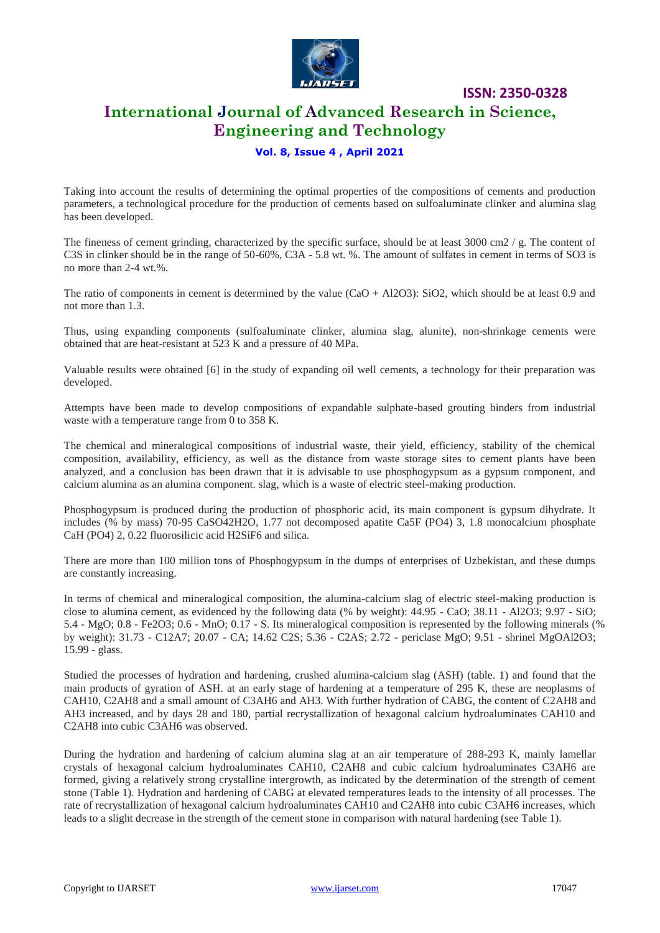

**International Journal of Advanced Research in Science, Engineering and Technology**

**ISSN: 2350-0328**

### **Vol. 8, Issue 4 , April 2021**

Taking into account the results of determining the optimal properties of the compositions of cements and production parameters, a technological procedure for the production of cements based on sulfoaluminate clinker and alumina slag has been developed.

The fineness of cement grinding, characterized by the specific surface, should be at least  $3000 \text{ cm}$ 2/g. The content of C3S in clinker should be in the range of 50-60%, C3A - 5.8 wt. %. The amount of sulfates in cement in terms of SO3 is no more than 2-4 wt.%.

The ratio of components in cement is determined by the value (CaO + Al2O3): SiO2, which should be at least 0.9 and not more than 1.3.

Thus, using expanding components (sulfoaluminate clinker, alumina slag, alunite), non-shrinkage cements were obtained that are heat-resistant at 523 K and a pressure of 40 MPa.

Valuable results were obtained [6] in the study of expanding oil well cements, a technology for their preparation was developed.

Attempts have been made to develop compositions of expandable sulphate-based grouting binders from industrial waste with a temperature range from 0 to 358 K.

The chemical and mineralogical compositions of industrial waste, their yield, efficiency, stability of the chemical composition, availability, efficiency, as well as the distance from waste storage sites to cement plants have been analyzed, and a conclusion has been drawn that it is advisable to use phosphogypsum as a gypsum component, and calcium alumina as an alumina component. slag, which is a waste of electric steel-making production.

Phosphogypsum is produced during the production of phosphoric acid, its main component is gypsum dihydrate. It includes (% by mass) 70-95 CaSO42H2O, 1.77 not decomposed apatite Ca5F (PO4) 3, 1.8 monocalcium phosphate CaH (PO4) 2, 0.22 fluorosilicic acid H2SiF6 and silica.

There are more than 100 million tons of Phosphogypsum in the dumps of enterprises of Uzbekistan, and these dumps are constantly increasing.

In terms of chemical and mineralogical composition, the alumina-calcium slag of electric steel-making production is close to alumina cement, as evidenced by the following data (% by weight): 44.95 - CaO; 38.11 - Al2O3; 9.97 - SiO; 5.4 - MgO; 0.8 - Fe2O3; 0.6 - MnO; 0.17 - S. Its mineralogical composition is represented by the following minerals (% by weight): 31.73 - C12A7; 20.07 - CA; 14.62 C2S; 5.36 - C2AS; 2.72 - periclase MgO; 9.51 - shrinel MgOAl2O3; 15.99 - glass.

Studied the processes of hydration and hardening, crushed alumina-calcium slag (ASH) (table. 1) and found that the main products of gyration of ASH. at an early stage of hardening at a temperature of 295 K, these are neoplasms of CAH10, C2AH8 and a small amount of C3AH6 and AH3. With further hydration of CABG, the content of C2AH8 and AH3 increased, and by days 28 and 180, partial recrystallization of hexagonal calcium hydroaluminates CAH10 and C2AH8 into cubic C3AH6 was observed.

During the hydration and hardening of calcium alumina slag at an air temperature of 288-293 K, mainly lamellar crystals of hexagonal calcium hydroaluminates CAH10, C2AH8 and cubic calcium hydroaluminates C3AH6 are formed, giving a relatively strong crystalline intergrowth, as indicated by the determination of the strength of cement stone (Table 1). Hydration and hardening of CABG at elevated temperatures leads to the intensity of all processes. The rate of recrystallization of hexagonal calcium hydroaluminates CAH10 and C2AH8 into cubic C3AH6 increases, which leads to a slight decrease in the strength of the cement stone in comparison with natural hardening (see Table 1).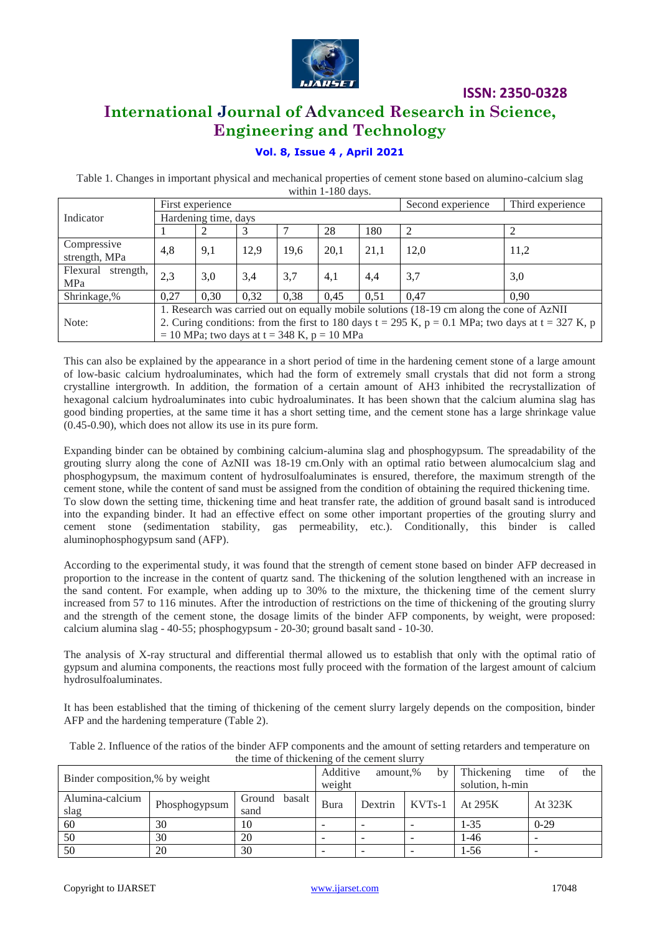

### **International Journal of Advanced Research in Science, Engineering and Technology**

### **Vol. 8, Issue 4 , April 2021**

Table 1. Changes in important physical and mechanical properties of cement stone based on alumino-calcium slag within 1-180 days.

|                              | First experience                                                                                    |      |      |      |      | Second experience | Third experience |      |
|------------------------------|-----------------------------------------------------------------------------------------------------|------|------|------|------|-------------------|------------------|------|
| Indicator                    | Hardening time, days                                                                                |      |      |      |      |                   |                  |      |
|                              |                                                                                                     |      |      |      | 28   | 180               | 2                |      |
| Compressive<br>strength, MPa | 4,8                                                                                                 | 9,1  | 12,9 | 19,6 | 20,1 | 21,1              | 12,0             | 11,2 |
| Flexural<br>strength,<br>MPa | 2,3                                                                                                 | 3,0  | 3,4  | 3,7  | 4,1  | 4,4               | 3,7              | 3,0  |
| Shrinkage,%                  | 0.27                                                                                                | 0.30 | 0,32 | 0.38 | 0.45 | 0.51              | 0.47             | 0.90 |
|                              | 1. Research was carried out on equally mobile solutions (18-19 cm along the cone of AzNII           |      |      |      |      |                   |                  |      |
| Note:                        | 2. Curing conditions: from the first to 180 days t = 295 K, $p = 0.1$ MPa; two days at t = 327 K, p |      |      |      |      |                   |                  |      |
|                              | $= 10$ MPa; two days at t = 348 K, p = 10 MPa                                                       |      |      |      |      |                   |                  |      |

This can also be explained by the appearance in a short period of time in the hardening cement stone of a large amount of low-basic calcium hydroaluminates, which had the form of extremely small crystals that did not form a strong crystalline intergrowth. In addition, the formation of a certain amount of AH3 inhibited the recrystallization of hexagonal calcium hydroaluminates into cubic hydroaluminates. It has been shown that the calcium alumina slag has good binding properties, at the same time it has a short setting time, and the cement stone has a large shrinkage value (0.45-0.90), which does not allow its use in its pure form.

Expanding binder can be obtained by combining calcium-alumina slag and phosphogypsum. The spreadability of the grouting slurry along the cone of AzNII was 18-19 cm.Only with an optimal ratio between alumocalcium slag and phosphogypsum, the maximum content of hydrosulfoaluminates is ensured, therefore, the maximum strength of the cement stone, while the content of sand must be assigned from the condition of obtaining the required thickening time. To slow down the setting time, thickening time and heat transfer rate, the addition of ground basalt sand is introduced into the expanding binder. It had an effective effect on some other important properties of the grouting slurry and cement stone (sedimentation stability, gas permeability, etc.). Conditionally, this binder is called aluminophosphogypsum sand (AFP).

According to the experimental study, it was found that the strength of cement stone based on binder AFP decreased in proportion to the increase in the content of quartz sand. The thickening of the solution lengthened with an increase in the sand content. For example, when adding up to 30% to the mixture, the thickening time of the cement slurry increased from 57 to 116 minutes. After the introduction of restrictions on the time of thickening of the grouting slurry and the strength of the cement stone, the dosage limits of the binder AFP components, by weight, were proposed: calcium alumina slag - 40-55; phosphogypsum - 20-30; ground basalt sand - 10-30.

The analysis of X-ray structural and differential thermal allowed us to establish that only with the optimal ratio of gypsum and alumina components, the reactions most fully proceed with the formation of the largest amount of calcium hydrosulfoaluminates.

It has been established that the timing of thickening of the cement slurry largely depends on the composition, binder AFP and the hardening temperature (Table 2).

| the three of threatming of the cement start |               |                          |                                      |         |          |                                                    |         |
|---------------------------------------------|---------------|--------------------------|--------------------------------------|---------|----------|----------------------------------------------------|---------|
| Binder composition,% by weight              |               |                          | Additive<br>amount,%<br>by<br>weight |         |          | Thickening<br>the<br>time<br>0Ī<br>solution, h-min |         |
| Alumina-calcium<br>slag                     | Phosphogypsum | basalt<br>Ground<br>sand | Bura                                 | Dextrin | $KVTs-1$ | At 295K                                            | At 323K |
| 60                                          | 30            | 10                       | $\overline{\phantom{a}}$             |         |          | $1 - 35$                                           | $0-29$  |
| 50                                          | 30            | 20                       | -                                    |         |          | 1-46                                               |         |
| 50                                          | 20            | 30                       |                                      |         |          | $1-56$                                             |         |

Table 2. Influence of the ratios of the binder AFP components and the amount of setting retarders and temperature on the time of thickening of the cement slurry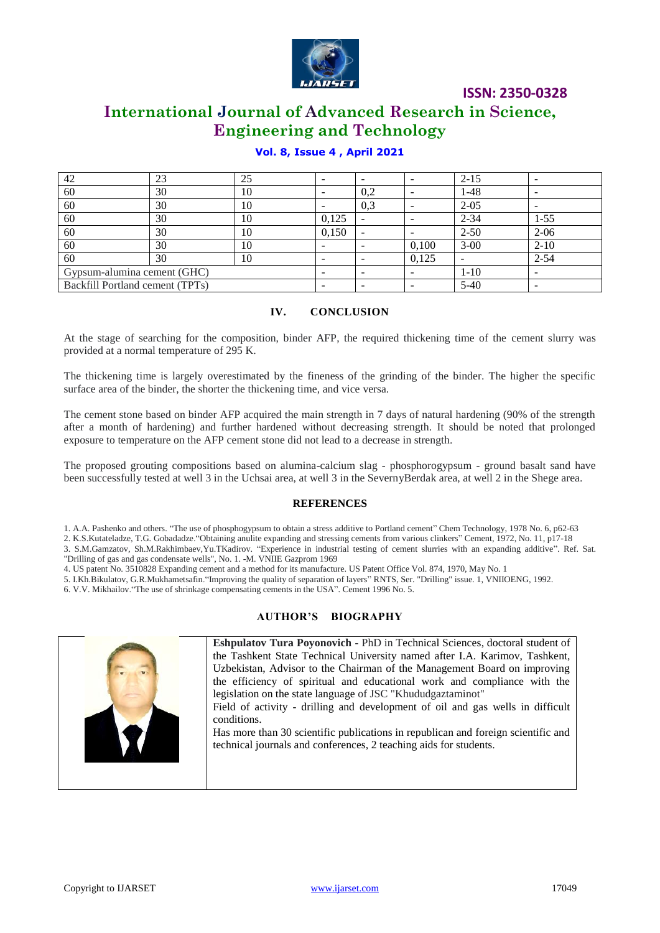

### **International Journal of Advanced Research in Science, Engineering and Technology**

| 42                              | 23 | 25 |       |                          | $\overline{\phantom{0}}$ | $2 - 15$ |          |
|---------------------------------|----|----|-------|--------------------------|--------------------------|----------|----------|
| 60                              | 30 | 10 |       | 0,2                      | $\overline{\phantom{a}}$ | $1 - 48$ |          |
| 60                              | 30 | 10 |       | 0,3                      | $\overline{\phantom{a}}$ | $2 - 05$ |          |
| 60                              | 30 | 10 | 0,125 |                          | $\overline{\phantom{0}}$ | $2 - 34$ | $1 - 55$ |
| 60                              | 30 | 10 | 0,150 | $\overline{\phantom{a}}$ | $\overline{\phantom{a}}$ | $2 - 50$ | $2 - 06$ |
| 60                              | 30 | 10 |       | -                        | 0,100                    | $3 - 00$ | $2 - 10$ |
| 60                              | 30 | 10 |       |                          | 0,125                    |          | $2 - 54$ |
| Gypsum-alumina cement (GHC)     |    |    |       |                          |                          | $1-10$   |          |
| Backfill Portland cement (TPTs) |    |    |       |                          |                          | $5-40$   |          |

### **Vol. 8, Issue 4 , April 2021**

### **IV. CONCLUSION**

At the stage of searching for the composition, binder AFP, the required thickening time of the cement slurry was provided at a normal temperature of 295 K.

The thickening time is largely overestimated by the fineness of the grinding of the binder. The higher the specific surface area of the binder, the shorter the thickening time, and vice versa.

The cement stone based on binder AFP acquired the main strength in 7 days of natural hardening (90% of the strength after a month of hardening) and further hardened without decreasing strength. It should be noted that prolonged exposure to temperature on the AFP cement stone did not lead to a decrease in strength.

The proposed grouting compositions based on alumina-calcium slag - phosphorogypsum - ground basalt sand have been successfully tested at well 3 in the Uchsai area, at well 3 in the SevernyBerdak area, at well 2 in the Shege area.

#### **REFERENCES**

1. A.A. Pashenko and others. "The use of phosphogypsum to obtain a stress additive to Portland cement" Chem Technology, 1978 No. 6, p62-63

2. K.S.Kutateladze, T.G. Gobadadze."Obtaining anulite expanding and stressing cements from various clinkers" Cement, 1972, No. 11, p17-18

3. S.M.Gamzatov, Sh.M.Rakhimbaev,Yu.TKadirov. "Experience in industrial testing of cement slurries with an expanding additive". Ref. Sat. "Drilling of gas and gas condensate wells", No. 1. -M. VNIIE Gazprom 1969

4. US patent No. 3510828 Expanding cement and a method for its manufacture. US Patent Office Vol. 874, 1970, May No. 1

5. I.Kh.Bikulatov, G.R.Mukhametsafin."Improving the quality of separation of layers" RNTS, Ser. "Drilling" issue. 1, VNIIOENG, 1992.

6. V.V. Mikhailov."The use of shrinkage compensating cements in the USA". Cement 1996 No. 5.

### **AUTHOR'S BIOGRAPHY**



**Eshpulatov Tura Poyonovich -** PhD in Technical Sciences, doctoral student of the Tashkent State Technical University named after I.A. Karimov, Tashkent, Uzbekistan, Advisor to the Chairman of the Management Board on improving the efficiency of spiritual and educational work and compliance with the legislation on the state language of JSC "Khududgaztaminot"

Field of activity - drilling and development of oil and gas wells in difficult conditions.

Has more than 30 scientific publications in republican and foreign scientific and technical journals and conferences, 2 teaching aids for students.